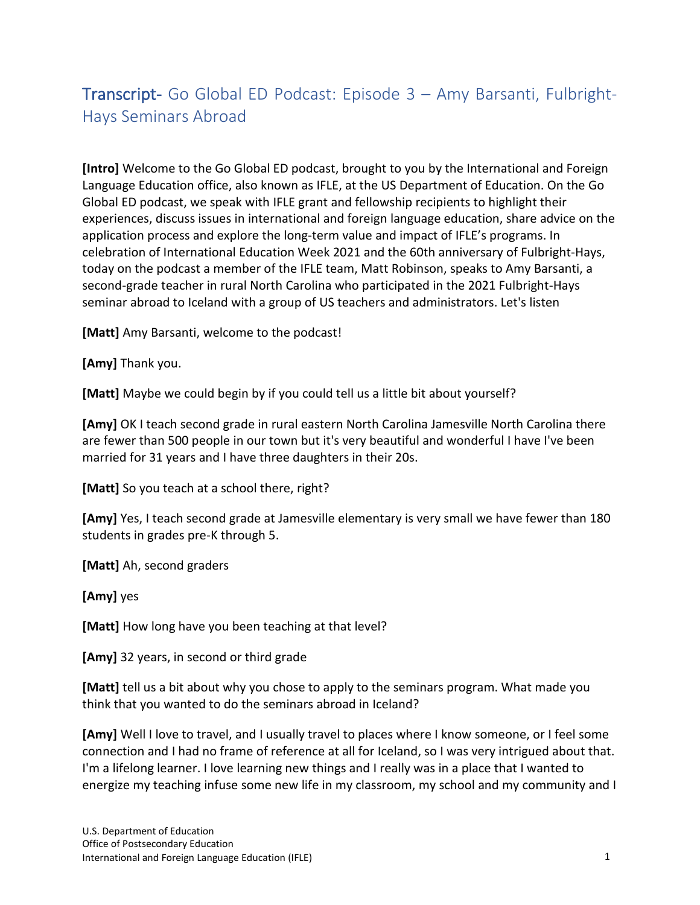# Transcript- Go Global ED Podcast: Episode 3 – Amy Barsanti, Fulbright-Hays Seminars Abroad

**[Intro]** Welcome to the Go Global ED podcast, brought to you by the International and Foreign Language Education office, also known as IFLE, at the US Department of Education. On the Go Global ED podcast, we speak with IFLE grant and fellowship recipients to highlight their experiences, discuss issues in international and foreign language education, share advice on the application process and explore the long-term value and impact of IFLE's programs. In celebration of International Education Week 2021 and the 60th anniversary of Fulbright-Hays, today on the podcast a member of the IFLE team, Matt Robinson, speaks to Amy Barsanti, a second-grade teacher in rural North Carolina who participated in the 2021 Fulbright-Hays seminar abroad to Iceland with a group of US teachers and administrators. Let's listen

**[Matt]** Amy Barsanti, welcome to the podcast!

**[Amy]** Thank you.

**[Matt]** Maybe we could begin by if you could tell us a little bit about yourself?

**[Amy]** OK I teach second grade in rural eastern North Carolina Jamesville North Carolina there are fewer than 500 people in our town but it's very beautiful and wonderful I have I've been married for 31 years and I have three daughters in their 20s.

**[Matt]** So you teach at a school there, right?

**[Amy]** Yes, I teach second grade at Jamesville elementary is very small we have fewer than 180 students in grades pre-K through 5.

**[Matt]** Ah, second graders

**[Amy]** yes

**[Matt]** How long have you been teaching at that level?

**[Amy]** 32 years, in second or third grade

**[Matt]** tell us a bit about why you chose to apply to the seminars program. What made you think that you wanted to do the seminars abroad in Iceland?

**[Amy]** Well I love to travel, and I usually travel to places where I know someone, or I feel some connection and I had no frame of reference at all for Iceland, so I was very intrigued about that. I'm a lifelong learner. I love learning new things and I really was in a place that I wanted to energize my teaching infuse some new life in my classroom, my school and my community and I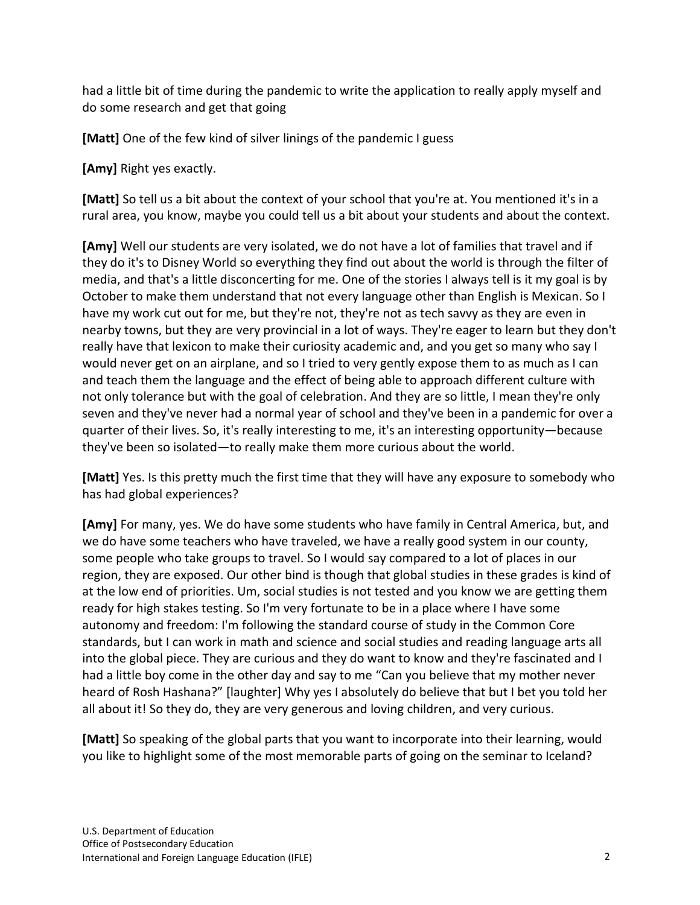had a little bit of time during the pandemic to write the application to really apply myself and do some research and get that going

**[Matt]** One of the few kind of silver linings of the pandemic I guess

**[Amy]** Right yes exactly.

**[Matt]** So tell us a bit about the context of your school that you're at. You mentioned it's in a rural area, you know, maybe you could tell us a bit about your students and about the context.

**[Amy]** Well our students are very isolated, we do not have a lot of families that travel and if they do it's to Disney World so everything they find out about the world is through the filter of media, and that's a little disconcerting for me. One of the stories I always tell is it my goal is by October to make them understand that not every language other than English is Mexican. So I have my work cut out for me, but they're not, they're not as tech savvy as they are even in nearby towns, but they are very provincial in a lot of ways. They're eager to learn but they don't really have that lexicon to make their curiosity academic and, and you get so many who say I would never get on an airplane, and so I tried to very gently expose them to as much as I can and teach them the language and the effect of being able to approach different culture with not only tolerance but with the goal of celebration. And they are so little, I mean they're only seven and they've never had a normal year of school and they've been in a pandemic for over a quarter of their lives. So, it's really interesting to me, it's an interesting opportunity—because they've been so isolated—to really make them more curious about the world.

**[Matt]** Yes. Is this pretty much the first time that they will have any exposure to somebody who has had global experiences?

**[Amy]** For many, yes. We do have some students who have family in Central America, but, and we do have some teachers who have traveled, we have a really good system in our county, some people who take groups to travel. So I would say compared to a lot of places in our region, they are exposed. Our other bind is though that global studies in these grades is kind of at the low end of priorities. Um, social studies is not tested and you know we are getting them ready for high stakes testing. So I'm very fortunate to be in a place where I have some autonomy and freedom: I'm following the standard course of study in the Common Core standards, but I can work in math and science and social studies and reading language arts all into the global piece. They are curious and they do want to know and they're fascinated and I had a little boy come in the other day and say to me "Can you believe that my mother never heard of Rosh Hashana?" [laughter] Why yes I absolutely do believe that but I bet you told her all about it! So they do, they are very generous and loving children, and very curious.

**[Matt]** So speaking of the global parts that you want to incorporate into their learning, would you like to highlight some of the most memorable parts of going on the seminar to Iceland?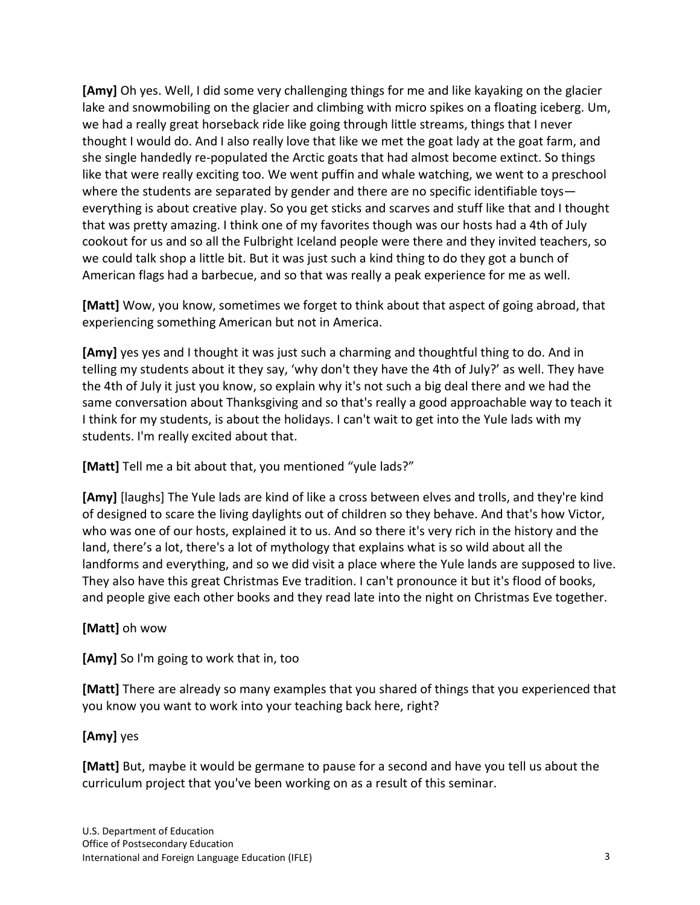**[Amy]** Oh yes. Well, I did some very challenging things for me and like kayaking on the glacier lake and snowmobiling on the glacier and climbing with micro spikes on a floating iceberg. Um, we had a really great horseback ride like going through little streams, things that I never thought I would do. And I also really love that like we met the goat lady at the goat farm, and she single handedly re-populated the Arctic goats that had almost become extinct. So things like that were really exciting too. We went puffin and whale watching, we went to a preschool where the students are separated by gender and there are no specific identifiable toys everything is about creative play. So you get sticks and scarves and stuff like that and I thought that was pretty amazing. I think one of my favorites though was our hosts had a 4th of July cookout for us and so all the Fulbright Iceland people were there and they invited teachers, so we could talk shop a little bit. But it was just such a kind thing to do they got a bunch of American flags had a barbecue, and so that was really a peak experience for me as well.

**[Matt]** Wow, you know, sometimes we forget to think about that aspect of going abroad, that experiencing something American but not in America.

**[Amy]** yes yes and I thought it was just such a charming and thoughtful thing to do. And in telling my students about it they say, 'why don't they have the 4th of July?' as well. They have the 4th of July it just you know, so explain why it's not such a big deal there and we had the same conversation about Thanksgiving and so that's really a good approachable way to teach it I think for my students, is about the holidays. I can't wait to get into the Yule lads with my students. I'm really excited about that.

**[Matt]** Tell me a bit about that, you mentioned "yule lads?"

**[Amy]** [laughs] The Yule lads are kind of like a cross between elves and trolls, and they're kind of designed to scare the living daylights out of children so they behave. And that's how Victor, who was one of our hosts, explained it to us. And so there it's very rich in the history and the land, there's a lot, there's a lot of mythology that explains what is so wild about all the landforms and everything, and so we did visit a place where the Yule lands are supposed to live. They also have this great Christmas Eve tradition. I can't pronounce it but it's flood of books, and people give each other books and they read late into the night on Christmas Eve together.

## **[Matt]** oh wow

**[Amy]** So I'm going to work that in, too

**[Matt]** There are already so many examples that you shared of things that you experienced that you know you want to work into your teaching back here, right?

## **[Amy]** yes

**[Matt]** But, maybe it would be germane to pause for a second and have you tell us about the curriculum project that you've been working on as a result of this seminar.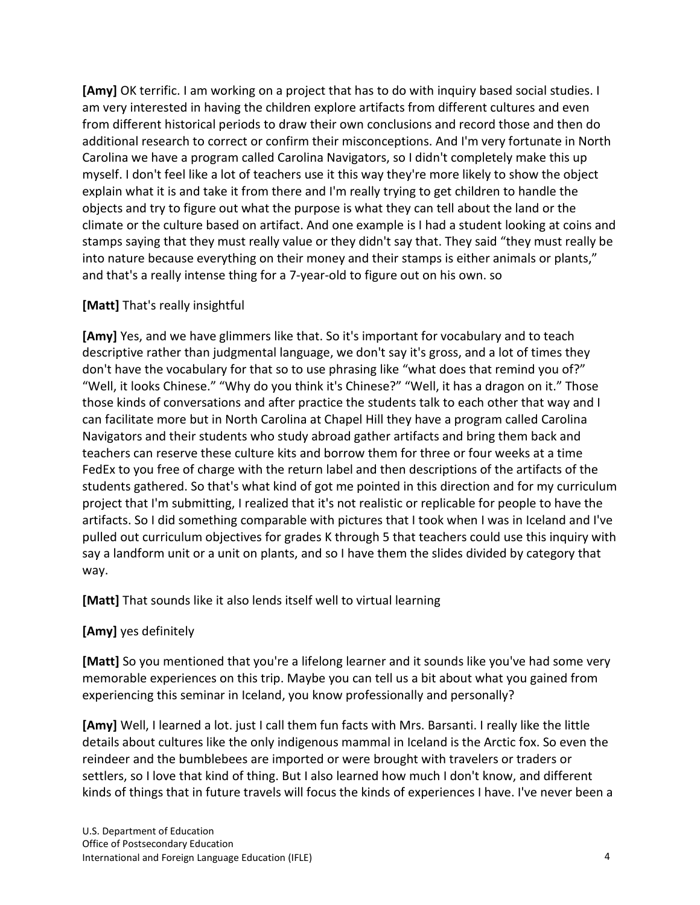**[Amy]** OK terrific. I am working on a project that has to do with inquiry based social studies. I am very interested in having the children explore artifacts from different cultures and even from different historical periods to draw their own conclusions and record those and then do additional research to correct or confirm their misconceptions. And I'm very fortunate in North Carolina we have a program called Carolina Navigators, so I didn't completely make this up myself. I don't feel like a lot of teachers use it this way they're more likely to show the object explain what it is and take it from there and I'm really trying to get children to handle the objects and try to figure out what the purpose is what they can tell about the land or the climate or the culture based on artifact. And one example is I had a student looking at coins and stamps saying that they must really value or they didn't say that. They said "they must really be into nature because everything on their money and their stamps is either animals or plants," and that's a really intense thing for a 7-year-old to figure out on his own. so

### **[Matt]** That's really insightful

**[Amy]** Yes, and we have glimmers like that. So it's important for vocabulary and to teach descriptive rather than judgmental language, we don't say it's gross, and a lot of times they don't have the vocabulary for that so to use phrasing like "what does that remind you of?" "Well, it looks Chinese." "Why do you think it's Chinese?" "Well, it has a dragon on it." Those those kinds of conversations and after practice the students talk to each other that way and I can facilitate more but in North Carolina at Chapel Hill they have a program called Carolina Navigators and their students who study abroad gather artifacts and bring them back and teachers can reserve these culture kits and borrow them for three or four weeks at a time FedEx to you free of charge with the return label and then descriptions of the artifacts of the students gathered. So that's what kind of got me pointed in this direction and for my curriculum project that I'm submitting, I realized that it's not realistic or replicable for people to have the artifacts. So I did something comparable with pictures that I took when I was in Iceland and I've pulled out curriculum objectives for grades K through 5 that teachers could use this inquiry with say a landform unit or a unit on plants, and so I have them the slides divided by category that way.

**[Matt]** That sounds like it also lends itself well to virtual learning

#### **[Amy]** yes definitely

**[Matt]** So you mentioned that you're a lifelong learner and it sounds like you've had some very memorable experiences on this trip. Maybe you can tell us a bit about what you gained from experiencing this seminar in Iceland, you know professionally and personally?

**[Amy]** Well, I learned a lot. just I call them fun facts with Mrs. Barsanti. I really like the little details about cultures like the only indigenous mammal in Iceland is the Arctic fox. So even the reindeer and the bumblebees are imported or were brought with travelers or traders or settlers, so I love that kind of thing. But I also learned how much I don't know, and different kinds of things that in future travels will focus the kinds of experiences I have. I've never been a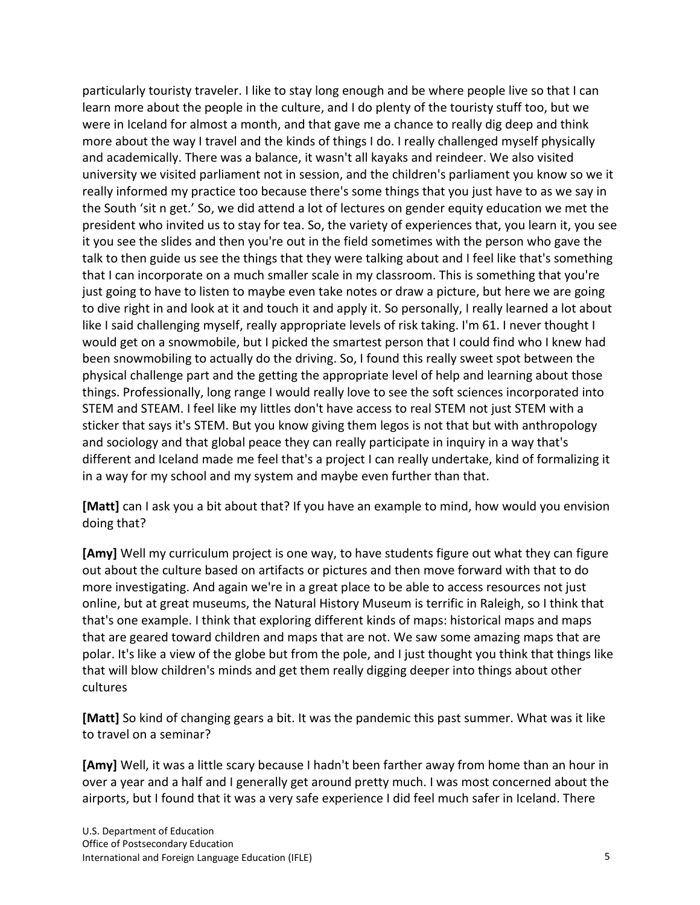particularly touristy traveler. I like to stay long enough and be where people live so that I can learn more about the people in the culture, and I do plenty of the touristy stuff too, but we were in Iceland for almost a month, and that gave me a chance to really dig deep and think more about the way I travel and the kinds of things I do. I really challenged myself physically and academically. There was a balance, it wasn't all kayaks and reindeer. We also visited university we visited parliament not in session, and the children's parliament you know so we it really informed my practice too because there's some things that you just have to as we say in the South 'sit n get.' So, we did attend a lot of lectures on gender equity education we met the president who invited us to stay for tea. So, the variety of experiences that, you learn it, you see it you see the slides and then you're out in the field sometimes with the person who gave the talk to then guide us see the things that they were talking about and I feel like that's something that I can incorporate on a much smaller scale in my classroom. This is something that you're just going to have to listen to maybe even take notes or draw a picture, but here we are going to dive right in and look at it and touch it and apply it. So personally, I really learned a lot about like I said challenging myself, really appropriate levels of risk taking. I'm 61. I never thought I would get on a snowmobile, but I picked the smartest person that I could find who I knew had been snowmobiling to actually do the driving. So, I found this really sweet spot between the physical challenge part and the getting the appropriate level of help and learning about those things. Professionally, long range I would really love to see the soft sciences incorporated into STEM and STEAM. I feel like my littles don't have access to real STEM not just STEM with a sticker that says it's STEM. But you know giving them legos is not that but with anthropology and sociology and that global peace they can really participate in inquiry in a way that's different and Iceland made me feel that's a project I can really undertake, kind of formalizing it in a way for my school and my system and maybe even further than that.

**[Matt]** can I ask you a bit about that? If you have an example to mind, how would you envision doing that?

**[Amy]** Well my curriculum project is one way, to have students figure out what they can figure out about the culture based on artifacts or pictures and then move forward with that to do more investigating. And again we're in a great place to be able to access resources not just online, but at great museums, the Natural History Museum is terrific in Raleigh, so I think that that's one example. I think that exploring different kinds of maps: historical maps and maps that are geared toward children and maps that are not. We saw some amazing maps that are polar. It's like a view of the globe but from the pole, and I just thought you think that things like that will blow children's minds and get them really digging deeper into things about other cultures

**[Matt]** So kind of changing gears a bit. It was the pandemic this past summer. What was it like to travel on a seminar?

**[Amy]** Well, it was a little scary because I hadn't been farther away from home than an hour in over a year and a half and I generally get around pretty much. I was most concerned about the airports, but I found that it was a very safe experience I did feel much safer in Iceland. There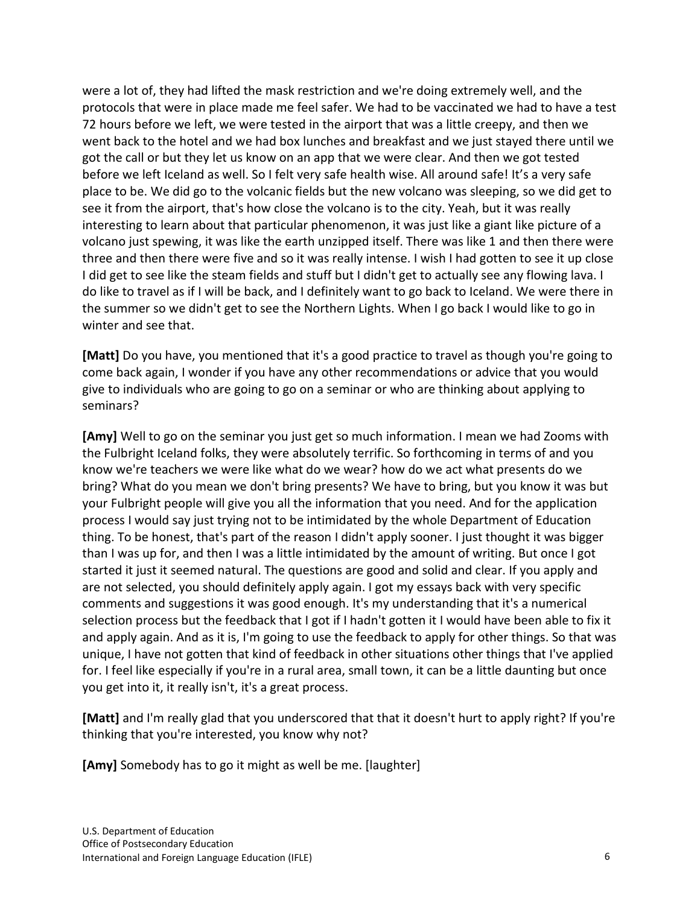were a lot of, they had lifted the mask restriction and we're doing extremely well, and the protocols that were in place made me feel safer. We had to be vaccinated we had to have a test 72 hours before we left, we were tested in the airport that was a little creepy, and then we went back to the hotel and we had box lunches and breakfast and we just stayed there until we got the call or but they let us know on an app that we were clear. And then we got tested before we left Iceland as well. So I felt very safe health wise. All around safe! It's a very safe place to be. We did go to the volcanic fields but the new volcano was sleeping, so we did get to see it from the airport, that's how close the volcano is to the city. Yeah, but it was really interesting to learn about that particular phenomenon, it was just like a giant like picture of a volcano just spewing, it was like the earth unzipped itself. There was like 1 and then there were three and then there were five and so it was really intense. I wish I had gotten to see it up close I did get to see like the steam fields and stuff but I didn't get to actually see any flowing lava. I do like to travel as if I will be back, and I definitely want to go back to Iceland. We were there in the summer so we didn't get to see the Northern Lights. When I go back I would like to go in winter and see that.

**[Matt]** Do you have, you mentioned that it's a good practice to travel as though you're going to come back again, I wonder if you have any other recommendations or advice that you would give to individuals who are going to go on a seminar or who are thinking about applying to seminars?

**[Amy]** Well to go on the seminar you just get so much information. I mean we had Zooms with the Fulbright Iceland folks, they were absolutely terrific. So forthcoming in terms of and you know we're teachers we were like what do we wear? how do we act what presents do we bring? What do you mean we don't bring presents? We have to bring, but you know it was but your Fulbright people will give you all the information that you need. And for the application process I would say just trying not to be intimidated by the whole Department of Education thing. To be honest, that's part of the reason I didn't apply sooner. I just thought it was bigger than I was up for, and then I was a little intimidated by the amount of writing. But once I got started it just it seemed natural. The questions are good and solid and clear. If you apply and are not selected, you should definitely apply again. I got my essays back with very specific comments and suggestions it was good enough. It's my understanding that it's a numerical selection process but the feedback that I got if I hadn't gotten it I would have been able to fix it and apply again. And as it is, I'm going to use the feedback to apply for other things. So that was unique, I have not gotten that kind of feedback in other situations other things that I've applied for. I feel like especially if you're in a rural area, small town, it can be a little daunting but once you get into it, it really isn't, it's a great process.

**[Matt]** and I'm really glad that you underscored that that it doesn't hurt to apply right? If you're thinking that you're interested, you know why not?

**[Amy]** Somebody has to go it might as well be me. [laughter]